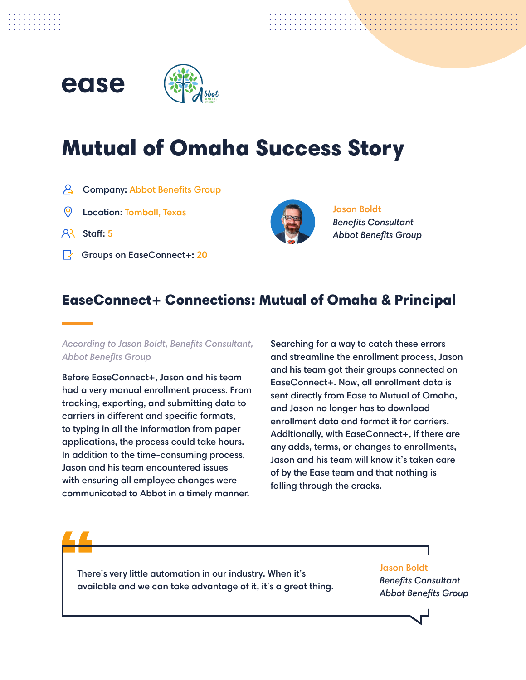

# Mutual of Omaha Success Story

- A Company: Abbot Benefits Group
- Location: Tomball, Texas Jason Boldt  $\odot$
- $8$  Staff: 5
- Groups on EaseConnect+: 20



*Benefits Consultant Abbot Benefits Group*

## EaseConnect+ Connections: Mutual of Omaha & Principal

#### *According to Jason Boldt, Benefits Consultant, Abbot Benefits Group*

Before EaseConnect+, Jason and his team had a very manual enrollment process. From tracking, exporting, and submitting data to carriers in different and specific formats, to typing in all the information from paper applications, the process could take hours. In addition to the time-consuming process, Jason and his team encountered issues with ensuring all employee changes were communicated to Abbot in a timely manner.

Searching for a way to catch these errors and streamline the enrollment process, Jason and his team got their groups connected on EaseConnect+. Now, all enrollment data is sent directly from Ease to Mutual of Omaha, and Jason no longer has to download enrollment data and format it for carriers. Additionally, with EaseConnect+, if there are any adds, terms, or changes to enrollments, Jason and his team will know it's taken care of by the Ease team and that nothing is falling through the cracks.

There's very little automation in our industry. When it's available and we can take advantage of it, it's a great thing.

#### Jason Boldt

*Benefits Consultant Abbot Benefits Group*